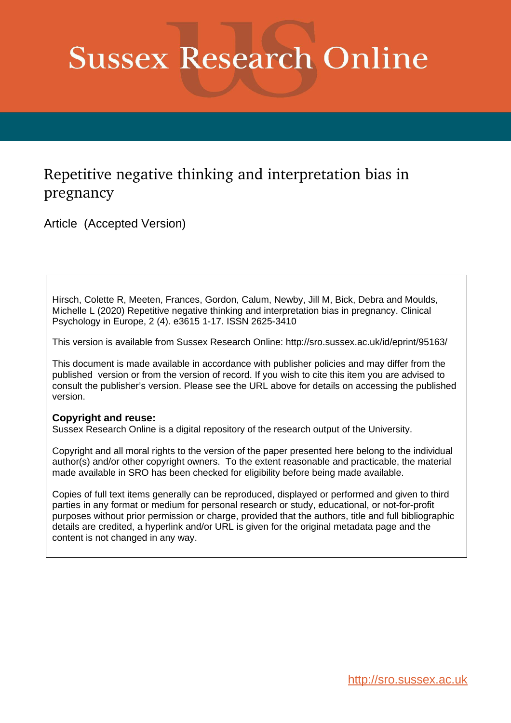# **Sussex Research Online**

# Repetitive negative thinking and interpretation bias in pregnancy

Article (Accepted Version)

Hirsch, Colette R, Meeten, Frances, Gordon, Calum, Newby, Jill M, Bick, Debra and Moulds, Michelle L (2020) Repetitive negative thinking and interpretation bias in pregnancy. Clinical Psychology in Europe, 2 (4). e3615 1-17. ISSN 2625-3410

This version is available from Sussex Research Online: http://sro.sussex.ac.uk/id/eprint/95163/

This document is made available in accordance with publisher policies and may differ from the published version or from the version of record. If you wish to cite this item you are advised to consult the publisher's version. Please see the URL above for details on accessing the published version.

## **Copyright and reuse:**

Sussex Research Online is a digital repository of the research output of the University.

Copyright and all moral rights to the version of the paper presented here belong to the individual author(s) and/or other copyright owners. To the extent reasonable and practicable, the material made available in SRO has been checked for eligibility before being made available.

Copies of full text items generally can be reproduced, displayed or performed and given to third parties in any format or medium for personal research or study, educational, or not-for-profit purposes without prior permission or charge, provided that the authors, title and full bibliographic details are credited, a hyperlink and/or URL is given for the original metadata page and the content is not changed in any way.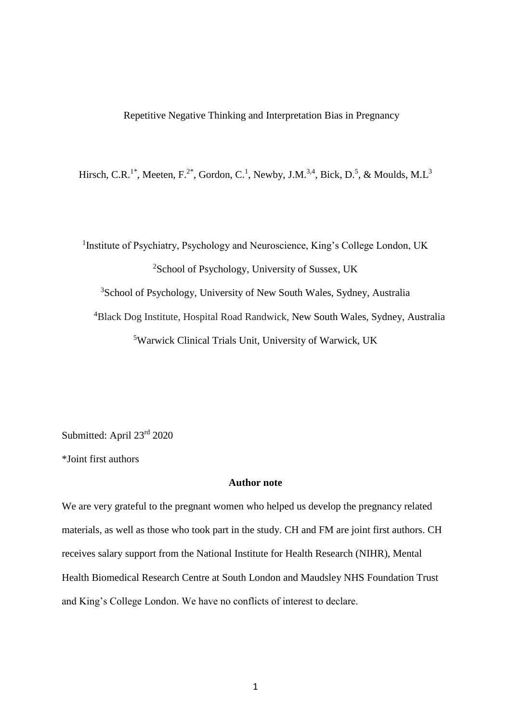Hirsch, C.R.<sup>1\*</sup>, Meeten, F.<sup>2\*</sup>, Gordon, C.<sup>1</sup>, Newby, J.M.<sup>3,4</sup>, Bick, D.<sup>5</sup>, & Moulds, M.L<sup>3</sup>

<sup>1</sup> Institute of Psychiatry, Psychology and Neuroscience, King's College London, UK School of Psychology, University of Sussex, UK School of Psychology, University of New South Wales, Sydney, Australia Black Dog Institute, Hospital Road Randwick, New South Wales, Sydney, Australia Warwick Clinical Trials Unit, University of Warwick, UK

Submitted: April 23rd 2020

\*Joint first authors

#### **Author note**

We are very grateful to the pregnant women who helped us develop the pregnancy related materials, as well as those who took part in the study. CH and FM are joint first authors. CH receives salary support from the National Institute for Health Research (NIHR), Mental Health Biomedical Research Centre at South London and Maudsley NHS Foundation Trust and King's College London. We have no conflicts of interest to declare.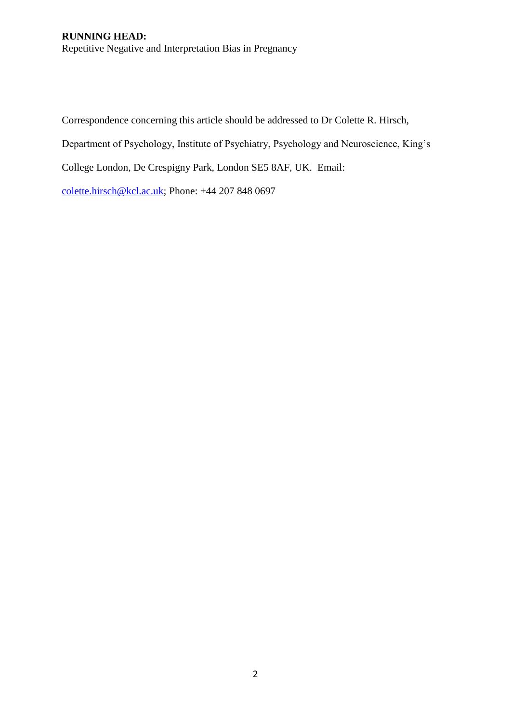## **RUNNING HEAD:**  Repetitive Negative and Interpretation Bias in Pregnancy

Correspondence concerning this article should be addressed to Dr Colette R. Hirsch,

Department of Psychology, Institute of Psychiatry, Psychology and Neuroscience, King's

College London, De Crespigny Park, London SE5 8AF, UK. Email:

[colette.hirsch@kcl.ac.uk;](mailto:colette.hirsch@kcl.ac.uk) Phone: +44 207 848 0697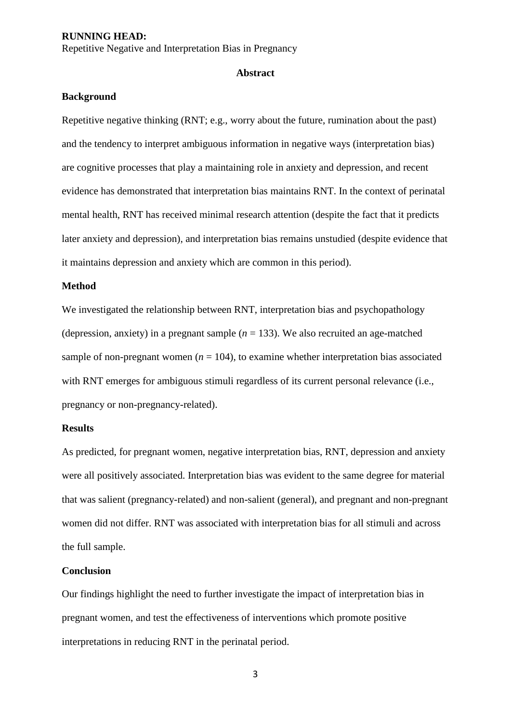Repetitive Negative and Interpretation Bias in Pregnancy

#### **Abstract**

#### **Background**

Repetitive negative thinking (RNT; e.g., worry about the future, rumination about the past) and the tendency to interpret ambiguous information in negative ways (interpretation bias) are cognitive processes that play a maintaining role in anxiety and depression, and recent evidence has demonstrated that interpretation bias maintains RNT. In the context of perinatal mental health, RNT has received minimal research attention (despite the fact that it predicts later anxiety and depression), and interpretation bias remains unstudied (despite evidence that it maintains depression and anxiety which are common in this period).

#### **Method**

We investigated the relationship between RNT, interpretation bias and psychopathology (depression, anxiety) in a pregnant sample  $(n = 133)$ . We also recruited an age-matched sample of non-pregnant women  $(n = 104)$ , to examine whether interpretation bias associated with RNT emerges for ambiguous stimuli regardless of its current personal relevance (i.e., pregnancy or non-pregnancy-related).

#### **Results**

As predicted, for pregnant women, negative interpretation bias, RNT, depression and anxiety were all positively associated. Interpretation bias was evident to the same degree for material that was salient (pregnancy-related) and non-salient (general), and pregnant and non-pregnant women did not differ. RNT was associated with interpretation bias for all stimuli and across the full sample.

#### **Conclusion**

Our findings highlight the need to further investigate the impact of interpretation bias in pregnant women, and test the effectiveness of interventions which promote positive interpretations in reducing RNT in the perinatal period.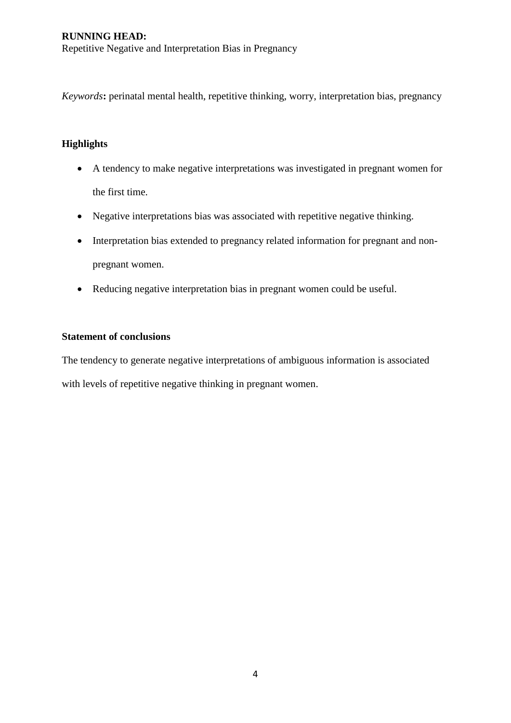*Keywords***:** perinatal mental health, repetitive thinking, worry, interpretation bias, pregnancy

## **Highlights**

- A tendency to make negative interpretations was investigated in pregnant women for the first time.
- Negative interpretations bias was associated with repetitive negative thinking.
- Interpretation bias extended to pregnancy related information for pregnant and nonpregnant women.
- Reducing negative interpretation bias in pregnant women could be useful.

#### **Statement of conclusions**

The tendency to generate negative interpretations of ambiguous information is associated with levels of repetitive negative thinking in pregnant women.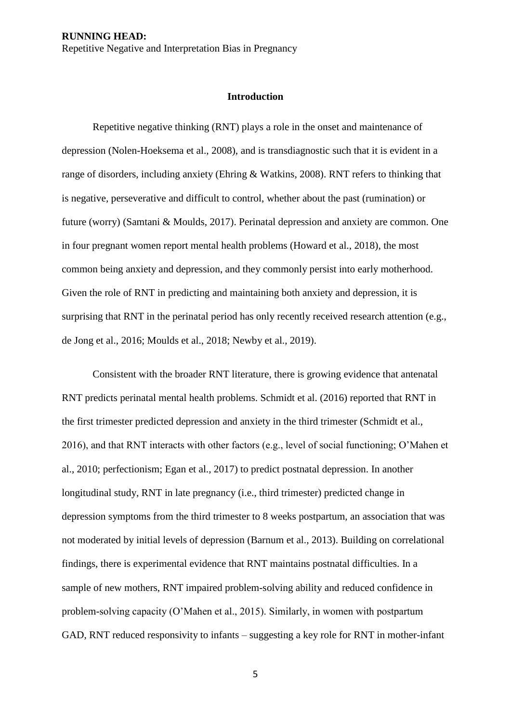#### **Introduction**

Repetitive negative thinking (RNT) plays a role in the onset and maintenance of depression (Nolen-Hoeksema et al., 2008), and is transdiagnostic such that it is evident in a range of disorders, including anxiety (Ehring & Watkins, 2008). RNT refers to thinking that is negative, perseverative and difficult to control, whether about the past (rumination) or future (worry) (Samtani & Moulds, 2017). Perinatal depression and anxiety are common. One in four pregnant women report mental health problems (Howard et al., 2018), the most common being anxiety and depression, and they commonly persist into early motherhood. Given the role of RNT in predicting and maintaining both anxiety and depression, it is surprising that RNT in the perinatal period has only recently received research attention (e.g., de Jong et al., 2016; Moulds et al., 2018; Newby et al., 2019).

Consistent with the broader RNT literature, there is growing evidence that antenatal RNT predicts perinatal mental health problems. Schmidt et al. (2016) reported that RNT in the first trimester predicted depression and anxiety in the third trimester (Schmidt et al., 2016), and that RNT interacts with other factors (e.g., level of social functioning; O'Mahen et al., 2010; perfectionism; Egan et al., 2017) to predict postnatal depression. In another longitudinal study, RNT in late pregnancy (i.e., third trimester) predicted change in depression symptoms from the third trimester to 8 weeks postpartum, an association that was not moderated by initial levels of depression (Barnum et al., 2013). Building on correlational findings, there is experimental evidence that RNT maintains postnatal difficulties. In a sample of new mothers, RNT impaired problem-solving ability and reduced confidence in problem-solving capacity (O'Mahen et al., 2015). Similarly, in women with postpartum GAD, RNT reduced responsivity to infants – suggesting a key role for RNT in mother-infant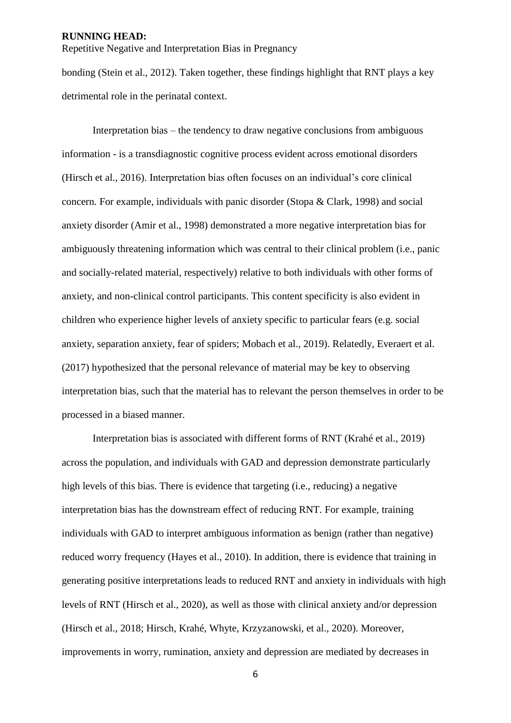Repetitive Negative and Interpretation Bias in Pregnancy

bonding (Stein et al., 2012). Taken together, these findings highlight that RNT plays a key detrimental role in the perinatal context.

Interpretation bias – the tendency to draw negative conclusions from ambiguous information - is a transdiagnostic cognitive process evident across emotional disorders (Hirsch et al., 2016). Interpretation bias often focuses on an individual's core clinical concern. For example, individuals with panic disorder (Stopa & Clark, 1998) and social anxiety disorder (Amir et al., 1998) demonstrated a more negative interpretation bias for ambiguously threatening information which was central to their clinical problem (i.e., panic and socially-related material, respectively) relative to both individuals with other forms of anxiety, and non-clinical control participants. This content specificity is also evident in children who experience higher levels of anxiety specific to particular fears (e.g. social anxiety, separation anxiety, fear of spiders; Mobach et al., 2019). Relatedly, Everaert et al. (2017) hypothesized that the personal relevance of material may be key to observing interpretation bias, such that the material has to relevant the person themselves in order to be processed in a biased manner.

Interpretation bias is associated with different forms of RNT (Krahé et al., 2019) across the population, and individuals with GAD and depression demonstrate particularly high levels of this bias. There is evidence that targeting (i.e., reducing) a negative interpretation bias has the downstream effect of reducing RNT. For example, training individuals with GAD to interpret ambiguous information as benign (rather than negative) reduced worry frequency (Hayes et al., 2010). In addition, there is evidence that training in generating positive interpretations leads to reduced RNT and anxiety in individuals with high levels of RNT (Hirsch et al., 2020), as well as those with clinical anxiety and/or depression (Hirsch et al., 2018; Hirsch, Krahé, Whyte, Krzyzanowski, et al., 2020). Moreover, improvements in worry, rumination, anxiety and depression are mediated by decreases in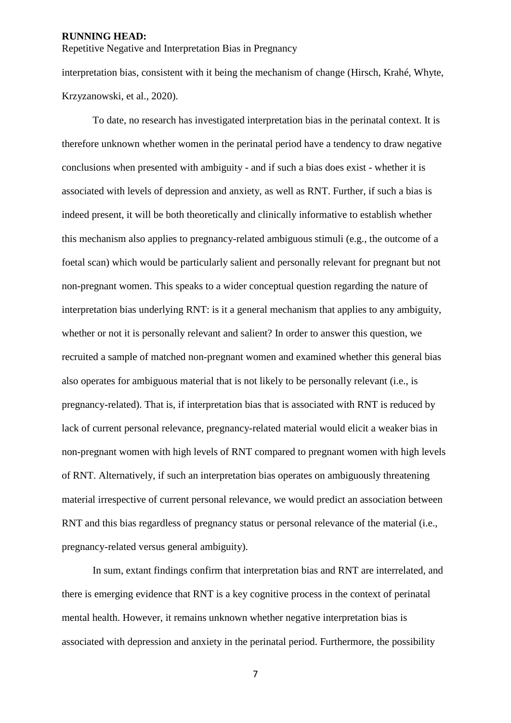Repetitive Negative and Interpretation Bias in Pregnancy

interpretation bias, consistent with it being the mechanism of change (Hirsch, Krahé, Whyte, Krzyzanowski, et al., 2020).

To date, no research has investigated interpretation bias in the perinatal context. It is therefore unknown whether women in the perinatal period have a tendency to draw negative conclusions when presented with ambiguity - and if such a bias does exist - whether it is associated with levels of depression and anxiety, as well as RNT. Further, if such a bias is indeed present, it will be both theoretically and clinically informative to establish whether this mechanism also applies to pregnancy-related ambiguous stimuli (e.g., the outcome of a foetal scan) which would be particularly salient and personally relevant for pregnant but not non-pregnant women. This speaks to a wider conceptual question regarding the nature of interpretation bias underlying RNT: is it a general mechanism that applies to any ambiguity, whether or not it is personally relevant and salient? In order to answer this question, we recruited a sample of matched non-pregnant women and examined whether this general bias also operates for ambiguous material that is not likely to be personally relevant (i.e., is pregnancy-related). That is, if interpretation bias that is associated with RNT is reduced by lack of current personal relevance, pregnancy-related material would elicit a weaker bias in non-pregnant women with high levels of RNT compared to pregnant women with high levels of RNT. Alternatively, if such an interpretation bias operates on ambiguously threatening material irrespective of current personal relevance, we would predict an association between RNT and this bias regardless of pregnancy status or personal relevance of the material (i.e., pregnancy-related versus general ambiguity).

In sum, extant findings confirm that interpretation bias and RNT are interrelated, and there is emerging evidence that RNT is a key cognitive process in the context of perinatal mental health. However, it remains unknown whether negative interpretation bias is associated with depression and anxiety in the perinatal period. Furthermore, the possibility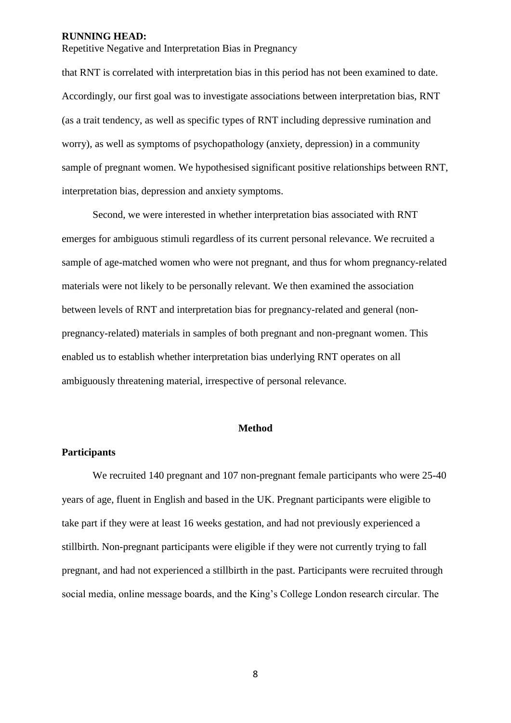Repetitive Negative and Interpretation Bias in Pregnancy

that RNT is correlated with interpretation bias in this period has not been examined to date. Accordingly, our first goal was to investigate associations between interpretation bias, RNT (as a trait tendency, as well as specific types of RNT including depressive rumination and worry), as well as symptoms of psychopathology (anxiety, depression) in a community sample of pregnant women. We hypothesised significant positive relationships between RNT, interpretation bias, depression and anxiety symptoms.

Second, we were interested in whether interpretation bias associated with RNT emerges for ambiguous stimuli regardless of its current personal relevance. We recruited a sample of age-matched women who were not pregnant, and thus for whom pregnancy-related materials were not likely to be personally relevant. We then examined the association between levels of RNT and interpretation bias for pregnancy-related and general (nonpregnancy-related) materials in samples of both pregnant and non-pregnant women. This enabled us to establish whether interpretation bias underlying RNT operates on all ambiguously threatening material, irrespective of personal relevance.

#### **Method**

#### **Participants**

We recruited 140 pregnant and 107 non-pregnant female participants who were 25-40 years of age, fluent in English and based in the UK. Pregnant participants were eligible to take part if they were at least 16 weeks gestation, and had not previously experienced a stillbirth. Non-pregnant participants were eligible if they were not currently trying to fall pregnant, and had not experienced a stillbirth in the past. Participants were recruited through social media, online message boards, and the King's College London research circular. The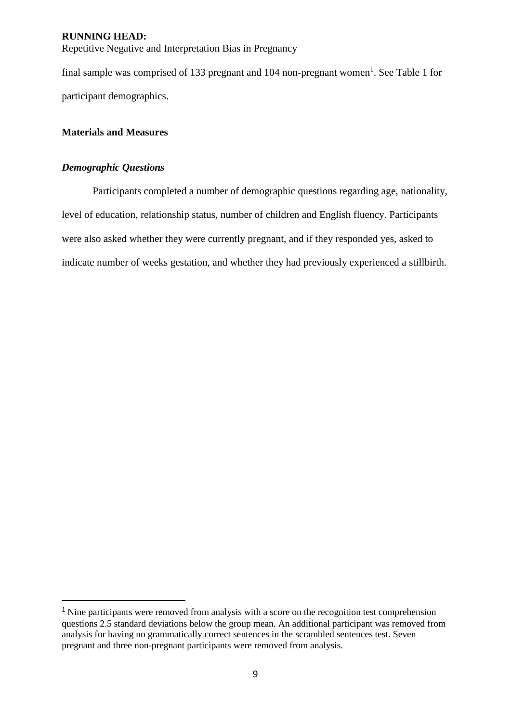Repetitive Negative and Interpretation Bias in Pregnancy

final sample was comprised of 133 pregnant and 104 non-pregnant women<sup>1</sup>. See Table 1 for participant demographics.

#### **Materials and Measures**

## *Demographic Questions*

-

Participants completed a number of demographic questions regarding age, nationality, level of education, relationship status, number of children and English fluency. Participants were also asked whether they were currently pregnant, and if they responded yes, asked to indicate number of weeks gestation, and whether they had previously experienced a stillbirth.

<sup>&</sup>lt;sup>1</sup> Nine participants were removed from analysis with a score on the recognition test comprehension questions 2.5 standard deviations below the group mean. An additional participant was removed from analysis for having no grammatically correct sentences in the scrambled sentences test. Seven pregnant and three non-pregnant participants were removed from analysis.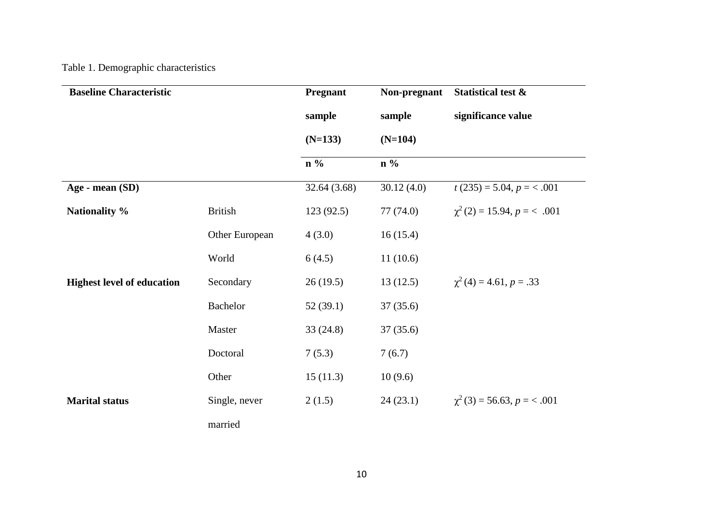# Table 1. Demographic characteristics

| <b>Baseline Characteristic</b>    |                | <b>Pregnant</b> | Non-pregnant | <b>Statistical test &amp;</b>    |
|-----------------------------------|----------------|-----------------|--------------|----------------------------------|
|                                   |                | sample          | sample       | significance value               |
|                                   |                | $(N=133)$       | $(N=104)$    |                                  |
|                                   |                | $n\%$           | $n\%$        |                                  |
| Age - mean (SD)                   |                | 32.64(3.68)     | 30.12(4.0)   | $t(235) = 5.04, p = <.001$       |
| Nationality %                     | <b>British</b> | 123(92.5)       | 77 (74.0)    | $\chi^2(2) = 15.94, p = 6.001$   |
|                                   | Other European | 4(3.0)          | 16(15.4)     |                                  |
|                                   | World          | 6(4.5)          | 11(10.6)     |                                  |
| <b>Highest level of education</b> | Secondary      | 26(19.5)        | 13(12.5)     | $\chi^2(4) = 4.61, p = .33$      |
|                                   | Bachelor       | 52(39.1)        | 37(35.6)     |                                  |
|                                   | Master         | 33(24.8)        | 37(35.6)     |                                  |
|                                   | Doctoral       | 7(5.3)          | 7(6.7)       |                                  |
|                                   | Other          | 15(11.3)        | 10(9.6)      |                                  |
| <b>Marital status</b>             | Single, never  | 2(1.5)          | 24(23.1)     | $\chi^2$ (3) = 56.63, p = < .001 |
|                                   | married        |                 |              |                                  |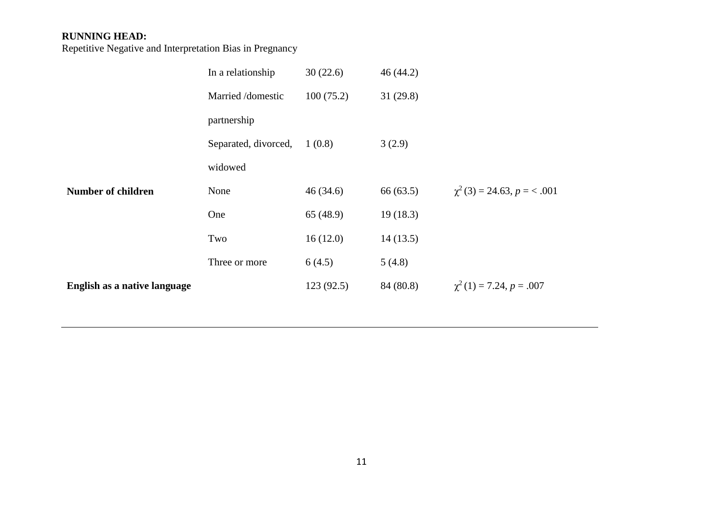|                              | In a relationship    | 30(22.6)  | 46(44.2)  |                                  |
|------------------------------|----------------------|-----------|-----------|----------------------------------|
|                              | Married /domestic    | 100(75.2) | 31(29.8)  |                                  |
|                              | partnership          |           |           |                                  |
|                              | Separated, divorced, | 1(0.8)    | 3(2.9)    |                                  |
|                              | widowed              |           |           |                                  |
| <b>Number of children</b>    | None                 | 46(34.6)  | 66 (63.5) | $\chi^2$ (3) = 24.63, p = < .001 |
|                              | One                  | 65 (48.9) | 19(18.3)  |                                  |
|                              | Two                  | 16(12.0)  | 14(13.5)  |                                  |
|                              | Three or more        | 6(4.5)    | 5(4.8)    |                                  |
| English as a native language |                      | 123(92.5) | 84 (80.8) | $\chi^2(1) = 7.24, p = .007$     |
|                              |                      |           |           |                                  |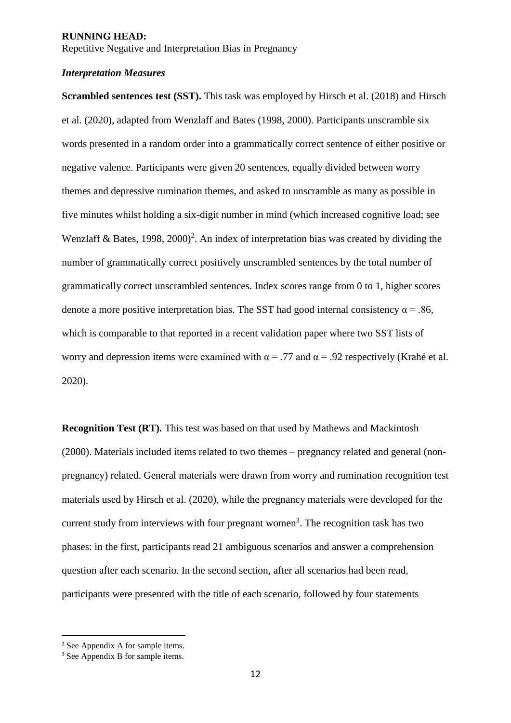Repetitive Negative and Interpretation Bias in Pregnancy

#### *Interpretation Measures*

**Scrambled sentences test (SST).** This task was employed by Hirsch et al. (2018) and Hirsch et al. (2020), adapted from Wenzlaff and Bates (1998, 2000). Participants unscramble six words presented in a random order into a grammatically correct sentence of either positive or negative valence. Participants were given 20 sentences, equally divided between worry themes and depressive rumination themes, and asked to unscramble as many as possible in five minutes whilst holding a six-digit number in mind (which increased cognitive load; see Wenzlaff & Bates,  $1998$ ,  $2000$ <sup>2</sup>. An index of interpretation bias was created by dividing the number of grammatically correct positively unscrambled sentences by the total number of grammatically correct unscrambled sentences. Index scores range from 0 to 1, higher scores denote a more positive interpretation bias. The SST had good internal consistency  $\alpha$  = .86, which is comparable to that reported in a recent validation paper where two SST lists of worry and depression items were examined with  $\alpha = .77$  and  $\alpha = .92$  respectively (Krahé et al. 2020).

**Recognition Test (RT).** This test was based on that used by Mathews and Mackintosh (2000). Materials included items related to two themes – pregnancy related and general (nonpregnancy) related. General materials were drawn from worry and rumination recognition test materials used by Hirsch et al. (2020), while the pregnancy materials were developed for the current study from interviews with four pregnant women<sup>3</sup>. The recognition task has two phases: in the first, participants read 21 ambiguous scenarios and answer a comprehension question after each scenario. In the second section, after all scenarios had been read, participants were presented with the title of each scenario, followed by four statements

-

<sup>2</sup> See Appendix A for sample items.

<sup>&</sup>lt;sup>3</sup> See Appendix B for sample items.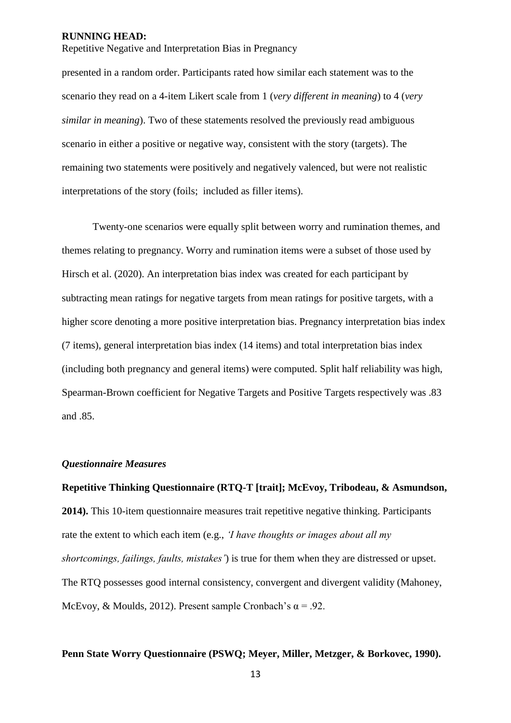Repetitive Negative and Interpretation Bias in Pregnancy

presented in a random order. Participants rated how similar each statement was to the scenario they read on a 4-item Likert scale from 1 (*very different in meaning*) to 4 (*very similar in meaning*). Two of these statements resolved the previously read ambiguous scenario in either a positive or negative way, consistent with the story (targets). The remaining two statements were positively and negatively valenced, but were not realistic interpretations of the story (foils; included as filler items).

Twenty-one scenarios were equally split between worry and rumination themes, and themes relating to pregnancy. Worry and rumination items were a subset of those used by Hirsch et al. (2020). An interpretation bias index was created for each participant by subtracting mean ratings for negative targets from mean ratings for positive targets, with a higher score denoting a more positive interpretation bias. Pregnancy interpretation bias index (7 items), general interpretation bias index (14 items) and total interpretation bias index (including both pregnancy and general items) were computed. Split half reliability was high, Spearman-Brown coefficient for Negative Targets and Positive Targets respectively was .83 and .85.

#### *Questionnaire Measures*

**Repetitive Thinking Questionnaire (RTQ-T [trait]; McEvoy, Tribodeau, & Asmundson, 2014).** This 10-item questionnaire measures trait repetitive negative thinking. Participants rate the extent to which each item (e.g., *'I have thoughts or images about all my shortcomings, failings, faults, mistakes'*) is true for them when they are distressed or upset. The RTQ possesses good internal consistency, convergent and divergent validity (Mahoney, McEvoy, & Moulds, 2012). Present sample Cronbach's  $\alpha$  = .92.

#### **Penn State Worry Questionnaire (PSWQ; Meyer, Miller, Metzger, & Borkovec, 1990).**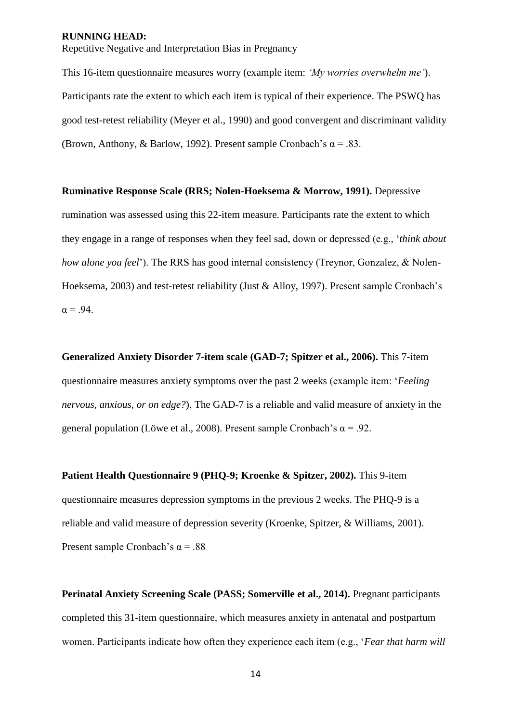Repetitive Negative and Interpretation Bias in Pregnancy

This 16-item questionnaire measures worry (example item: *'My worries overwhelm me'*). Participants rate the extent to which each item is typical of their experience. The PSWQ has good test-retest reliability (Meyer et al., 1990) and good convergent and discriminant validity (Brown, Anthony, & Barlow, 1992). Present sample Cronbach's  $\alpha = .83$ .

**Ruminative Response Scale (RRS; Nolen-Hoeksema & Morrow, 1991).** Depressive rumination was assessed using this 22-item measure. Participants rate the extent to which they engage in a range of responses when they feel sad, down or depressed (e.g., '*think about how alone you feel*'). The RRS has good internal consistency (Treynor, Gonzalez, & Nolen-Hoeksema, 2003) and test-retest reliability (Just & Alloy, 1997). Present sample Cronbach's  $\alpha = .94$ .

**Generalized Anxiety Disorder 7-item scale (GAD-7; Spitzer et al., 2006).** This 7-item questionnaire measures anxiety symptoms over the past 2 weeks (example item: '*Feeling nervous, anxious, or on edge?*). The GAD-7 is a reliable and valid measure of anxiety in the general population (Löwe et al., 2008). Present sample Cronbach's  $\alpha$  = .92.

**Patient Health Questionnaire 9 (PHQ-9; Kroenke & Spitzer, 2002).** This 9-item questionnaire measures depression symptoms in the previous 2 weeks. The PHQ-9 is a reliable and valid measure of depression severity (Kroenke, Spitzer, & Williams, 2001). Present sample Cronbach's  $\alpha = .88$ 

**Perinatal Anxiety Screening Scale (PASS; Somerville et al., 2014).** Pregnant participants completed this 31-item questionnaire, which measures anxiety in antenatal and postpartum women. Participants indicate how often they experience each item (e.g., '*Fear that harm will*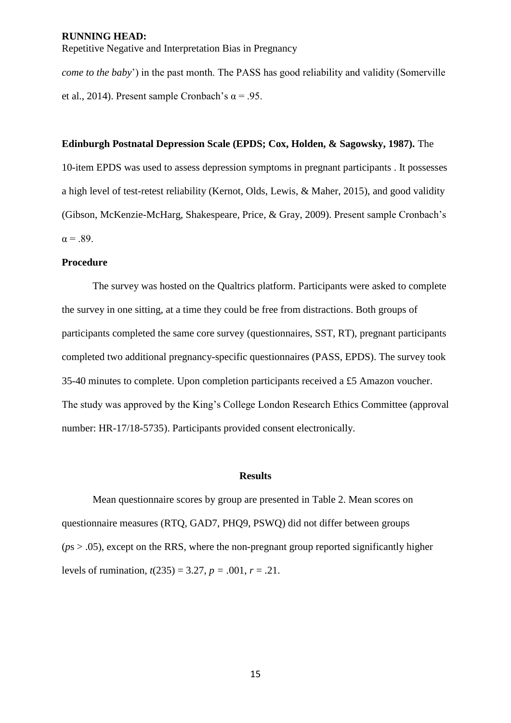Repetitive Negative and Interpretation Bias in Pregnancy

*come to the baby*') in the past month. The PASS has good reliability and validity (Somerville et al., 2014). Present sample Cronbach's  $\alpha$  = .95.

#### **Edinburgh Postnatal Depression Scale (EPDS; Cox, Holden, & Sagowsky, 1987).** The

10-item EPDS was used to assess depression symptoms in pregnant participants . It possesses a high level of test-retest reliability (Kernot, Olds, Lewis, & Maher, 2015), and good validity (Gibson, McKenzie-McHarg, Shakespeare, Price, & Gray, 2009). Present sample Cronbach's  $\alpha = .89$ .

#### **Procedure**

The survey was hosted on the Qualtrics platform. Participants were asked to complete the survey in one sitting, at a time they could be free from distractions. Both groups of participants completed the same core survey (questionnaires, SST, RT), pregnant participants completed two additional pregnancy-specific questionnaires (PASS, EPDS). The survey took 35-40 minutes to complete. Upon completion participants received a £5 Amazon voucher. The study was approved by the King's College London Research Ethics Committee (approval number: HR-17/18-5735). Participants provided consent electronically.

#### **Results**

Mean questionnaire scores by group are presented in Table 2. Mean scores on questionnaire measures (RTQ, GAD7, PHQ9, PSWQ) did not differ between groups (*p*s > .05), except on the RRS, where the non-pregnant group reported significantly higher levels of rumination,  $t(235) = 3.27$ ,  $p = .001$ ,  $r = .21$ .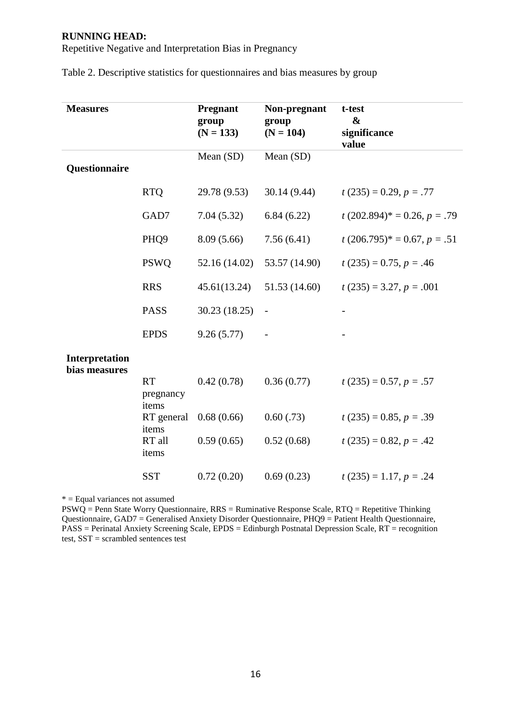Repetitive Negative and Interpretation Bias in Pregnancy

| <b>Measures</b> |                     | <b>Pregnant</b> | Non-pregnant      | t-test                           |
|-----------------|---------------------|-----------------|-------------------|----------------------------------|
|                 |                     | group           | group             | &                                |
|                 |                     | $(N = 133)$     | $(N = 104)$       | significance                     |
|                 |                     |                 |                   | value                            |
| Questionnaire   |                     | Mean (SD)       | Mean (SD)         |                                  |
|                 |                     |                 |                   |                                  |
|                 | <b>RTQ</b>          | 29.78 (9.53)    | 30.14 (9.44)      | $t(235) = 0.29, p = .77$         |
|                 | GAD7                | 7.04(5.32)      | 6.84(6.22)        | $t(202.894)^{*} = 0.26, p = .79$ |
|                 | PHQ <sub>9</sub>    | 8.09(5.66)      | 7.56(6.41)        | $t(206.795)^{*} = 0.67, p = .51$ |
|                 | <b>PSWQ</b>         | 52.16 (14.02)   | 53.57 (14.90)     | $t(235) = 0.75, p = .46$         |
|                 | <b>RRS</b>          | 45.61(13.24)    | 51.53 (14.60)     | $t(235) = 3.27, p = .001$        |
|                 | <b>PASS</b>         | 30.23 (18.25)   | $\qquad \qquad -$ |                                  |
|                 | <b>EPDS</b>         | 9.26(5.77)      |                   |                                  |
| Interpretation  |                     |                 |                   |                                  |
| bias measures   |                     |                 |                   |                                  |
|                 | <b>RT</b>           | 0.42(0.78)      | 0.36(0.77)        | $t(235) = 0.57, p = .57$         |
|                 | pregnancy           |                 |                   |                                  |
|                 | items<br>RT general | 0.68(0.66)      | $0.60$ $(.73)$    | $t(235) = 0.85, p = .39$         |
|                 | items               |                 |                   |                                  |
|                 | RT all<br>items     | 0.59(0.65)      | 0.52(0.68)        | $t(235) = 0.82, p = .42$         |
|                 |                     |                 |                   |                                  |
|                 | <b>SST</b>          | 0.72(0.20)      | 0.69(0.23)        | $t(235) = 1.17, p = .24$         |

Table 2. Descriptive statistics for questionnaires and bias measures by group

\* = Equal variances not assumed

PSWQ = Penn State Worry Questionnaire,  $RRS =$  Ruminative Response Scale,  $RTQ =$  Repetitive Thinking Questionnaire, GAD7 = Generalised Anxiety Disorder Questionnaire, PHQ9 = Patient Health Questionnaire, PASS = Perinatal Anxiety Screening Scale, EPDS = Edinburgh Postnatal Depression Scale, RT = recognition test, SST = scrambled sentences test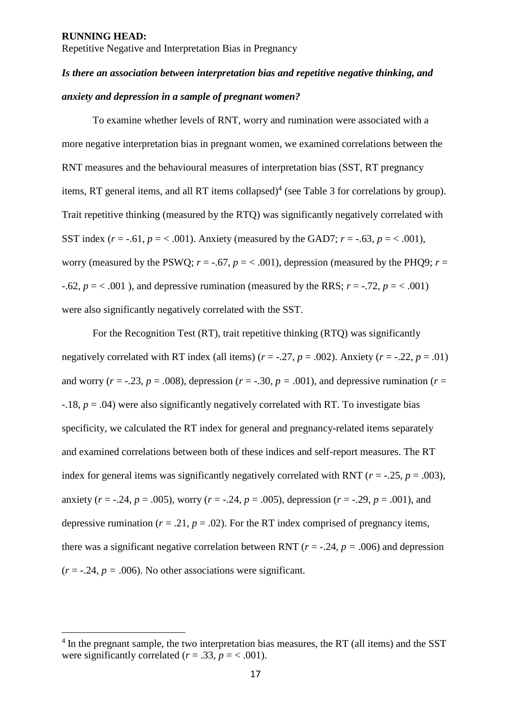1

Repetitive Negative and Interpretation Bias in Pregnancy

# *Is there an association between interpretation bias and repetitive negative thinking, and anxiety and depression in a sample of pregnant women?*

To examine whether levels of RNT, worry and rumination were associated with a more negative interpretation bias in pregnant women, we examined correlations between the RNT measures and the behavioural measures of interpretation bias (SST, RT pregnancy items, RT general items, and all RT items collapsed)<sup>4</sup> (see Table 3 for correlations by group). Trait repetitive thinking (measured by the RTQ) was significantly negatively correlated with SST index  $(r = -.61, p = -.001)$ . Anxiety (measured by the GAD7;  $r = -.63, p = -.001$ ), worry (measured by the PSWQ;  $r = -.67$ ,  $p = < .001$ ), depression (measured by the PHQ9;  $r =$  $-0.62$ ,  $p = < 0.001$ ), and depressive rumination (measured by the RRS;  $r = -0.72$ ,  $p = < 0.001$ ) were also significantly negatively correlated with the SST.

For the Recognition Test (RT), trait repetitive thinking (RTQ) was significantly negatively correlated with RT index (all items)  $(r = -.27, p = .002)$ . Anxiety  $(r = -.22, p = .01)$ and worry ( $r = -.23$ ,  $p = .008$ ), depression ( $r = -.30$ ,  $p = .001$ ), and depressive rumination ( $r =$ -.18, *p* = .04) were also significantly negatively correlated with RT. To investigate bias specificity, we calculated the RT index for general and pregnancy-related items separately and examined correlations between both of these indices and self-report measures. The RT index for general items was significantly negatively correlated with RNT ( $r = -0.25$ ,  $p = 0.003$ ), anxiety ( $r = -0.24$ ,  $p = 0.005$ ), worry ( $r = -0.24$ ,  $p = 0.005$ ), depression ( $r = -0.29$ ,  $p = 0.001$ ), and depressive rumination ( $r = .21$ ,  $p = .02$ ). For the RT index comprised of pregnancy items, there was a significant negative correlation between RNT ( $r = -0.24$ ,  $p = 0.006$ ) and depression  $(r = -.24, p = .006)$ . No other associations were significant.

<sup>&</sup>lt;sup>4</sup> In the pregnant sample, the two interpretation bias measures, the RT (all items) and the SST were significantly correlated  $(r = .33, p = < .001)$ .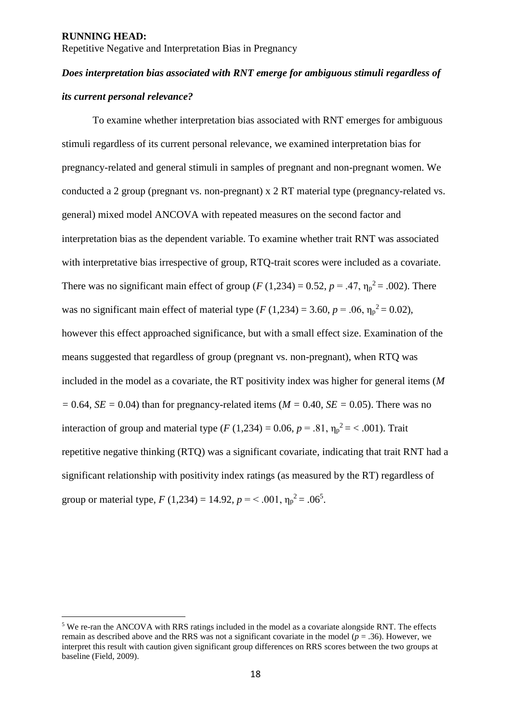-

Repetitive Negative and Interpretation Bias in Pregnancy

# *Does interpretation bias associated with RNT emerge for ambiguous stimuli regardless of its current personal relevance?*

To examine whether interpretation bias associated with RNT emerges for ambiguous stimuli regardless of its current personal relevance, we examined interpretation bias for pregnancy-related and general stimuli in samples of pregnant and non-pregnant women. We conducted a 2 group (pregnant vs. non-pregnant) x 2 RT material type (pregnancy-related vs. general) mixed model ANCOVA with repeated measures on the second factor and interpretation bias as the dependent variable. To examine whether trait RNT was associated with interpretative bias irrespective of group, RTQ-trait scores were included as a covariate. There was no significant main effect of group ( $F(1,234) = 0.52$ ,  $p = .47$ ,  $\eta_p^2 = .002$ ). There was no significant main effect of material type (*F* (1,234) = 3.60,  $p = .06$ ,  $\eta_p^2 = 0.02$ ), however this effect approached significance, but with a small effect size. Examination of the means suggested that regardless of group (pregnant vs. non-pregnant), when RTQ was included in the model as a covariate, the RT positivity index was higher for general items (*M*   $= 0.64$ , *SE* = 0.04) than for pregnancy-related items (*M* = 0.40, *SE* = 0.05). There was no interaction of group and material type  $(F (1, 234) = 0.06, p = .81, \eta_p^2 = < .001)$ . Trait repetitive negative thinking (RTQ) was a significant covariate, indicating that trait RNT had a significant relationship with positivity index ratings (as measured by the RT) regardless of group or material type,  $F(1,234) = 14.92$ ,  $p = < .001$ ,  $\eta_p^2 = .06^5$ .

<sup>5</sup> We re-ran the ANCOVA with RRS ratings included in the model as a covariate alongside RNT. The effects remain as described above and the RRS was not a significant covariate in the model ( $p = .36$ ). However, we interpret this result with caution given significant group differences on RRS scores between the two groups at baseline (Field, 2009).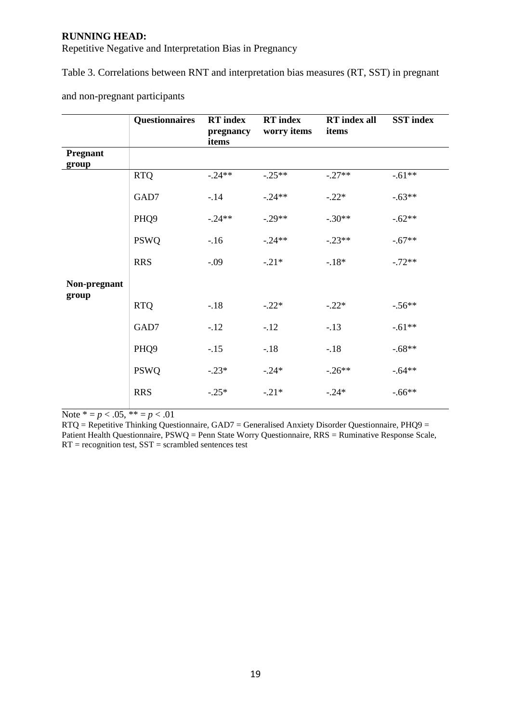Repetitive Negative and Interpretation Bias in Pregnancy

Table 3. Correlations between RNT and interpretation bias measures (RT, SST) in pregnant

|                          | <b>Questionnaires</b> | <b>RT</b> index<br>pregnancy<br>items | <b>RT</b> index<br>worry items | <b>RT</b> index all<br>items | <b>SST</b> index |
|--------------------------|-----------------------|---------------------------------------|--------------------------------|------------------------------|------------------|
| <b>Pregnant</b><br>group |                       |                                       |                                |                              |                  |
|                          | <b>RTQ</b>            | $-.24**$                              | $-.25**$                       | $-.27**$                     | $-.61**$         |
|                          | GAD7                  | $-14$                                 | $-.24**$                       | $-.22*$                      | $-.63**$         |
|                          | PHQ <sub>9</sub>      | $-.24**$                              | $-.29**$                       | $-.30**$                     | $-.62**$         |
|                          | <b>PSWQ</b>           | $-16$                                 | $-.24**$                       | $-.23**$                     | $-.67**$         |
|                          | <b>RRS</b>            | $-.09$                                | $-.21*$                        | $-18*$                       | $-.72**$         |
| Non-pregnant             |                       |                                       |                                |                              |                  |
| group                    | <b>RTQ</b>            | $-18$                                 | $-.22*$                        | $-.22*$                      | $-.56**$         |
|                          | GAD7                  | $-12$                                 | $-12$                          | $-13$                        | $-.61**$         |
|                          | PHQ <sub>9</sub>      | $-.15$                                | $-.18$                         | $-18$                        | $-.68**$         |
|                          | <b>PSWQ</b>           | $-.23*$                               | $-.24*$                        | $-.26**$                     | $-.64**$         |
|                          | <b>RRS</b>            | $-.25*$                               | $-.21*$                        | $-.24*$                      | $-.66**$         |

and non-pregnant participants

Note  $* = p < .05, ** = p < .01$ 

RTQ = Repetitive Thinking Questionnaire, GAD7 = Generalised Anxiety Disorder Questionnaire, PHQ9 = Patient Health Questionnaire, PSWQ = Penn State Worry Questionnaire, RRS = Ruminative Response Scale,  $RT = recognition test, SST = scrambled sentences test$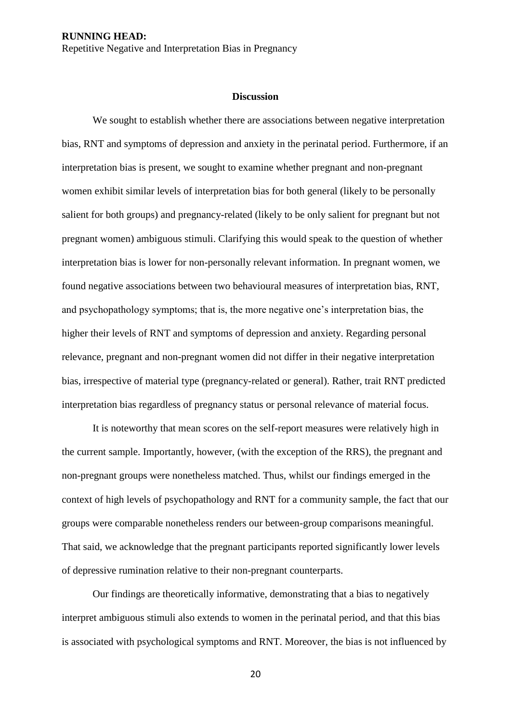#### **Discussion**

We sought to establish whether there are associations between negative interpretation bias, RNT and symptoms of depression and anxiety in the perinatal period. Furthermore, if an interpretation bias is present, we sought to examine whether pregnant and non-pregnant women exhibit similar levels of interpretation bias for both general (likely to be personally salient for both groups) and pregnancy-related (likely to be only salient for pregnant but not pregnant women) ambiguous stimuli. Clarifying this would speak to the question of whether interpretation bias is lower for non-personally relevant information. In pregnant women, we found negative associations between two behavioural measures of interpretation bias, RNT, and psychopathology symptoms; that is, the more negative one's interpretation bias, the higher their levels of RNT and symptoms of depression and anxiety. Regarding personal relevance, pregnant and non-pregnant women did not differ in their negative interpretation bias, irrespective of material type (pregnancy-related or general). Rather, trait RNT predicted interpretation bias regardless of pregnancy status or personal relevance of material focus.

It is noteworthy that mean scores on the self-report measures were relatively high in the current sample. Importantly, however, (with the exception of the RRS), the pregnant and non-pregnant groups were nonetheless matched. Thus, whilst our findings emerged in the context of high levels of psychopathology and RNT for a community sample, the fact that our groups were comparable nonetheless renders our between-group comparisons meaningful. That said, we acknowledge that the pregnant participants reported significantly lower levels of depressive rumination relative to their non-pregnant counterparts.

Our findings are theoretically informative, demonstrating that a bias to negatively interpret ambiguous stimuli also extends to women in the perinatal period, and that this bias is associated with psychological symptoms and RNT. Moreover, the bias is not influenced by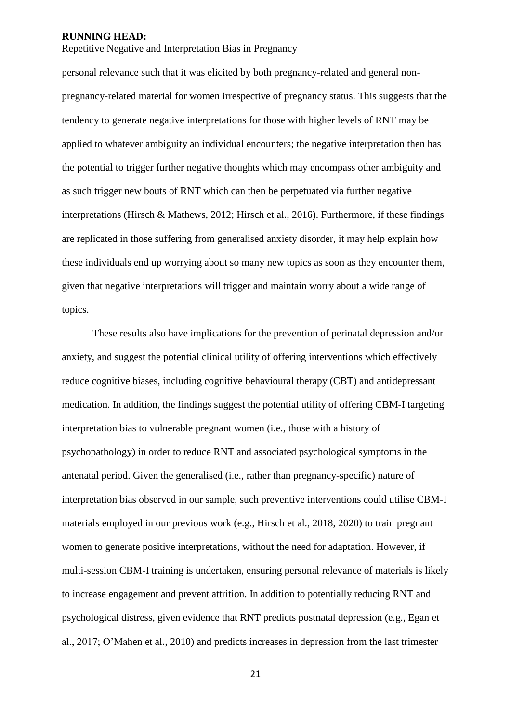Repetitive Negative and Interpretation Bias in Pregnancy

personal relevance such that it was elicited by both pregnancy-related and general nonpregnancy-related material for women irrespective of pregnancy status. This suggests that the tendency to generate negative interpretations for those with higher levels of RNT may be applied to whatever ambiguity an individual encounters; the negative interpretation then has the potential to trigger further negative thoughts which may encompass other ambiguity and as such trigger new bouts of RNT which can then be perpetuated via further negative interpretations (Hirsch & Mathews, 2012; Hirsch et al., 2016). Furthermore, if these findings are replicated in those suffering from generalised anxiety disorder, it may help explain how these individuals end up worrying about so many new topics as soon as they encounter them, given that negative interpretations will trigger and maintain worry about a wide range of topics.

These results also have implications for the prevention of perinatal depression and/or anxiety, and suggest the potential clinical utility of offering interventions which effectively reduce cognitive biases, including cognitive behavioural therapy (CBT) and antidepressant medication. In addition, the findings suggest the potential utility of offering CBM-I targeting interpretation bias to vulnerable pregnant women (i.e., those with a history of psychopathology) in order to reduce RNT and associated psychological symptoms in the antenatal period. Given the generalised (i.e., rather than pregnancy-specific) nature of interpretation bias observed in our sample, such preventive interventions could utilise CBM-I materials employed in our previous work (e.g., Hirsch et al., 2018, 2020) to train pregnant women to generate positive interpretations, without the need for adaptation. However, if multi-session CBM-I training is undertaken, ensuring personal relevance of materials is likely to increase engagement and prevent attrition. In addition to potentially reducing RNT and psychological distress, given evidence that RNT predicts postnatal depression (e.g., Egan et al., 2017; O'Mahen et al., 2010) and predicts increases in depression from the last trimester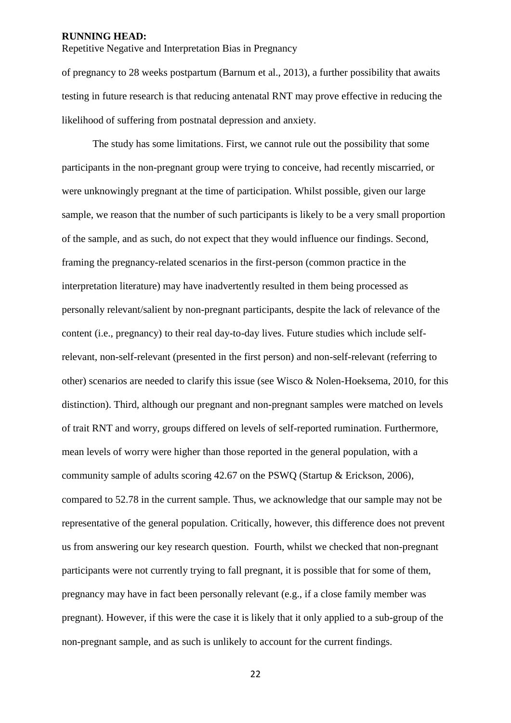Repetitive Negative and Interpretation Bias in Pregnancy

of pregnancy to 28 weeks postpartum (Barnum et al., 2013), a further possibility that awaits testing in future research is that reducing antenatal RNT may prove effective in reducing the likelihood of suffering from postnatal depression and anxiety.

The study has some limitations. First, we cannot rule out the possibility that some participants in the non-pregnant group were trying to conceive, had recently miscarried, or were unknowingly pregnant at the time of participation. Whilst possible, given our large sample, we reason that the number of such participants is likely to be a very small proportion of the sample, and as such, do not expect that they would influence our findings. Second, framing the pregnancy-related scenarios in the first-person (common practice in the interpretation literature) may have inadvertently resulted in them being processed as personally relevant/salient by non-pregnant participants, despite the lack of relevance of the content (i.e., pregnancy) to their real day-to-day lives. Future studies which include selfrelevant, non-self-relevant (presented in the first person) and non-self-relevant (referring to other) scenarios are needed to clarify this issue (see Wisco & Nolen-Hoeksema, 2010, for this distinction). Third, although our pregnant and non-pregnant samples were matched on levels of trait RNT and worry, groups differed on levels of self-reported rumination. Furthermore, mean levels of worry were higher than those reported in the general population, with a community sample of adults scoring 42.67 on the PSWQ (Startup & Erickson, 2006), compared to 52.78 in the current sample. Thus, we acknowledge that our sample may not be representative of the general population. Critically, however, this difference does not prevent us from answering our key research question. Fourth, whilst we checked that non-pregnant participants were not currently trying to fall pregnant, it is possible that for some of them, pregnancy may have in fact been personally relevant (e.g., if a close family member was pregnant). However, if this were the case it is likely that it only applied to a sub-group of the non-pregnant sample, and as such is unlikely to account for the current findings.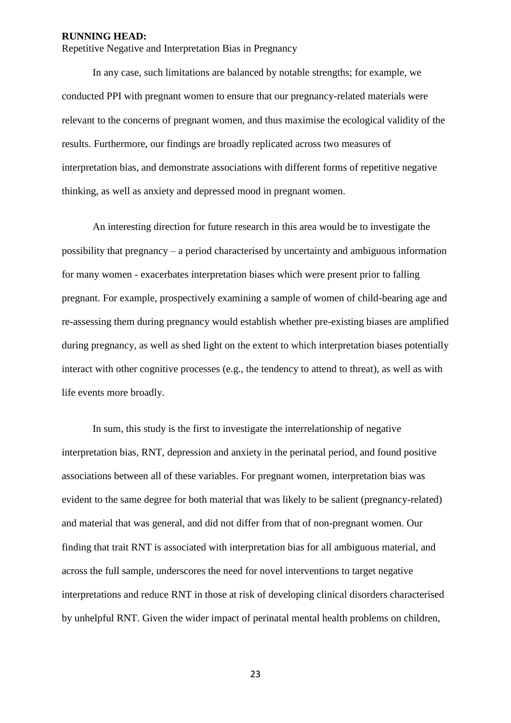Repetitive Negative and Interpretation Bias in Pregnancy

In any case, such limitations are balanced by notable strengths; for example, we conducted PPI with pregnant women to ensure that our pregnancy-related materials were relevant to the concerns of pregnant women, and thus maximise the ecological validity of the results. Furthermore, our findings are broadly replicated across two measures of interpretation bias, and demonstrate associations with different forms of repetitive negative thinking, as well as anxiety and depressed mood in pregnant women.

An interesting direction for future research in this area would be to investigate the possibility that pregnancy – a period characterised by uncertainty and ambiguous information for many women - exacerbates interpretation biases which were present prior to falling pregnant. For example, prospectively examining a sample of women of child-bearing age and re-assessing them during pregnancy would establish whether pre-existing biases are amplified during pregnancy, as well as shed light on the extent to which interpretation biases potentially interact with other cognitive processes (e.g., the tendency to attend to threat), as well as with life events more broadly.

In sum, this study is the first to investigate the interrelationship of negative interpretation bias, RNT, depression and anxiety in the perinatal period, and found positive associations between all of these variables. For pregnant women, interpretation bias was evident to the same degree for both material that was likely to be salient (pregnancy-related) and material that was general, and did not differ from that of non-pregnant women. Our finding that trait RNT is associated with interpretation bias for all ambiguous material, and across the full sample, underscores the need for novel interventions to target negative interpretations and reduce RNT in those at risk of developing clinical disorders characterised by unhelpful RNT. Given the wider impact of perinatal mental health problems on children,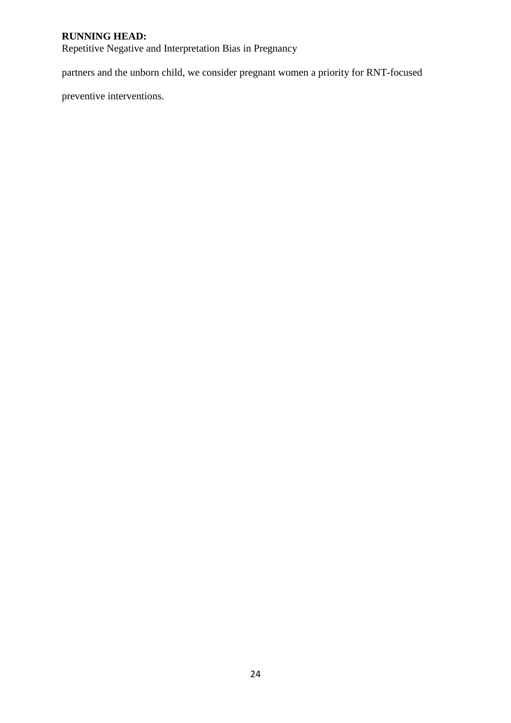Repetitive Negative and Interpretation Bias in Pregnancy

partners and the unborn child, we consider pregnant women a priority for RNT-focused

preventive interventions.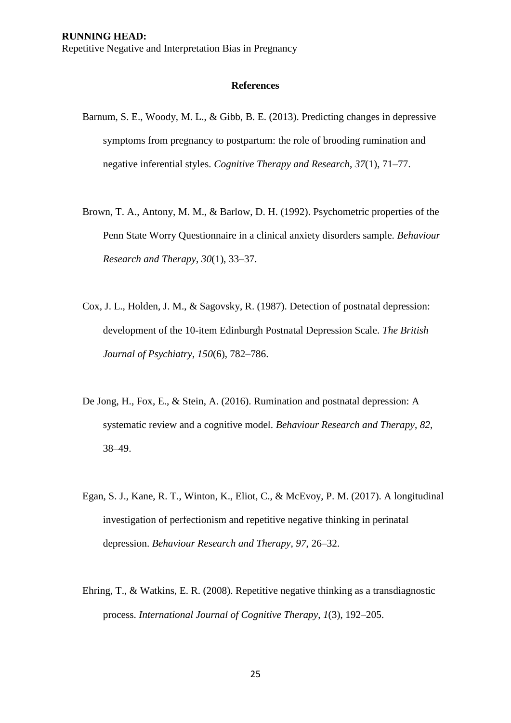#### **References**

- Barnum, S. E., Woody, M. L., & Gibb, B. E. (2013). Predicting changes in depressive symptoms from pregnancy to postpartum: the role of brooding rumination and negative inferential styles. *Cognitive Therapy and Research*, *37*(1), 71–77.
- Brown, T. A., Antony, M. M., & Barlow, D. H. (1992). Psychometric properties of the Penn State Worry Questionnaire in a clinical anxiety disorders sample. *Behaviour Research and Therapy*, *30*(1), 33–37.
- Cox, J. L., Holden, J. M., & Sagovsky, R. (1987). Detection of postnatal depression: development of the 10-item Edinburgh Postnatal Depression Scale. *The British Journal of Psychiatry*, *150*(6), 782–786.
- De Jong, H., Fox, E., & Stein, A. (2016). Rumination and postnatal depression: A systematic review and a cognitive model. *Behaviour Research and Therapy*, *82*, 38–49.
- Egan, S. J., Kane, R. T., Winton, K., Eliot, C., & McEvoy, P. M. (2017). A longitudinal investigation of perfectionism and repetitive negative thinking in perinatal depression. *Behaviour Research and Therapy*, *97*, 26–32.
- Ehring, T., & Watkins, E. R. (2008). Repetitive negative thinking as a transdiagnostic process. *International Journal of Cognitive Therapy*, *1*(3), 192–205.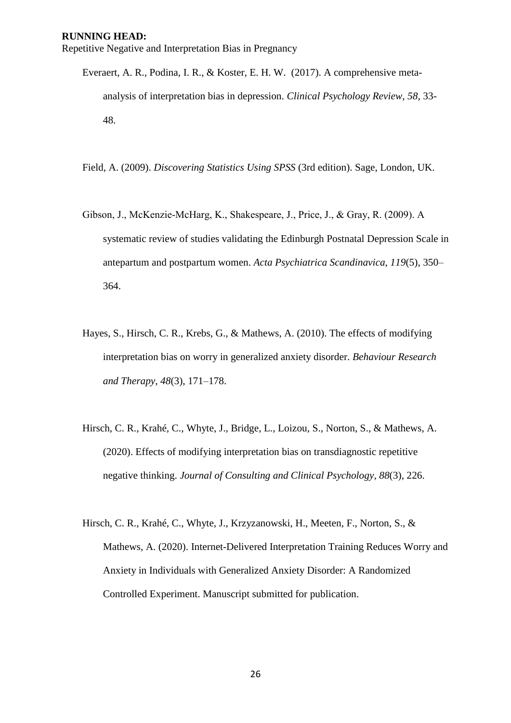Everaert, A. R., Podina, I. R., & Koster, E. H. W. (2017). A comprehensive metaanalysis of interpretation bias in depression. *Clinical Psychology Review, 58,* 33- 48.

Field, A. (2009). *Discovering Statistics Using SPSS* (3rd edition). Sage, London, UK.

- Gibson, J., McKenzie‐McHarg, K., Shakespeare, J., Price, J., & Gray, R. (2009). A systematic review of studies validating the Edinburgh Postnatal Depression Scale in antepartum and postpartum women. *Acta Psychiatrica Scandinavica*, *119*(5), 350– 364.
- Hayes, S., Hirsch, C. R., Krebs, G., & Mathews, A. (2010). The effects of modifying interpretation bias on worry in generalized anxiety disorder. *Behaviour Research and Therapy*, *48*(3), 171–178.
- Hirsch, C. R., Krahé, C., Whyte, J., Bridge, L., Loizou, S., Norton, S., & Mathews, A. (2020). Effects of modifying interpretation bias on transdiagnostic repetitive negative thinking. *Journal of Consulting and Clinical Psychology*, *88*(3), 226.
- Hirsch, C. R., Krahé, C., Whyte, J., Krzyzanowski, H., Meeten, F., Norton, S., & Mathews, A. (2020). Internet-Delivered Interpretation Training Reduces Worry and Anxiety in Individuals with Generalized Anxiety Disorder: A Randomized Controlled Experiment. Manuscript submitted for publication.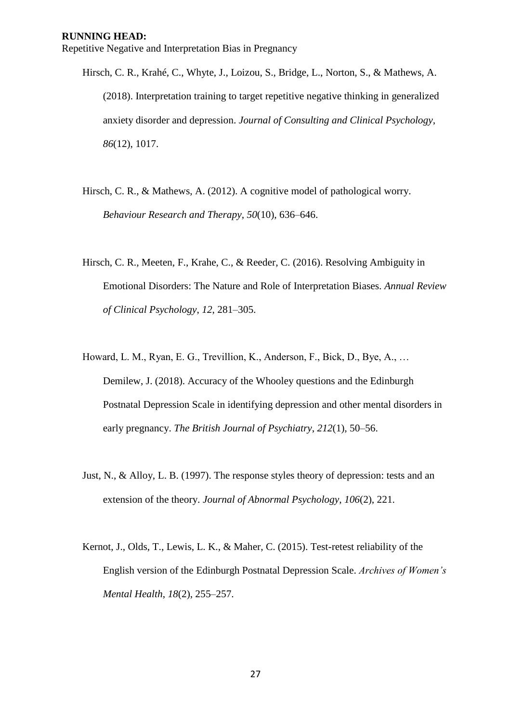- Hirsch, C. R., Krahé, C., Whyte, J., Loizou, S., Bridge, L., Norton, S., & Mathews, A. (2018). Interpretation training to target repetitive negative thinking in generalized anxiety disorder and depression. *Journal of Consulting and Clinical Psychology*, *86*(12), 1017.
- Hirsch, C. R., & Mathews, A. (2012). A cognitive model of pathological worry. *Behaviour Research and Therapy*, *50*(10), 636–646.
- Hirsch, C. R., Meeten, F., Krahe, C., & Reeder, C. (2016). Resolving Ambiguity in Emotional Disorders: The Nature and Role of Interpretation Biases. *Annual Review of Clinical Psychology*, *12*, 281–305.
- Howard, L. M., Ryan, E. G., Trevillion, K., Anderson, F., Bick, D., Bye, A., … Demilew, J. (2018). Accuracy of the Whooley questions and the Edinburgh Postnatal Depression Scale in identifying depression and other mental disorders in early pregnancy. *The British Journal of Psychiatry*, *212*(1), 50–56.
- Just, N., & Alloy, L. B. (1997). The response styles theory of depression: tests and an extension of the theory. *Journal of Abnormal Psychology*, *106*(2), 221.
- Kernot, J., Olds, T., Lewis, L. K., & Maher, C. (2015). Test-retest reliability of the English version of the Edinburgh Postnatal Depression Scale. *Archives of Women's Mental Health*, *18*(2), 255–257.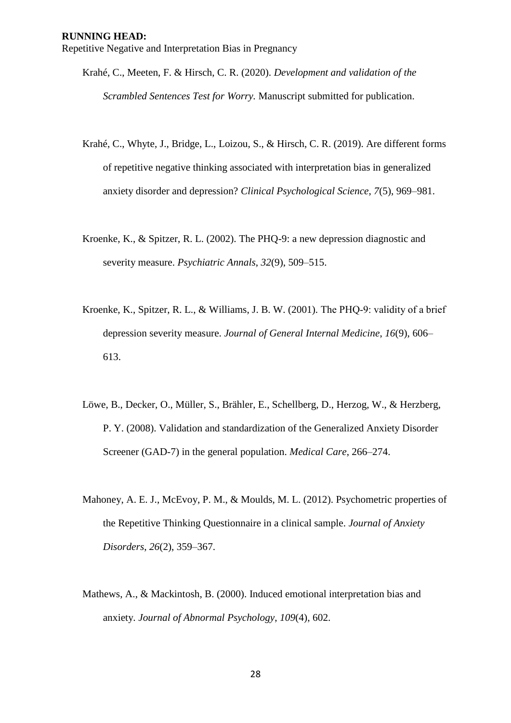- Krahé, C., Meeten, F. & Hirsch, C. R. (2020). *Development and validation of the Scrambled Sentences Test for Worry.* Manuscript submitted for publication.
- Krahé, C., Whyte, J., Bridge, L., Loizou, S., & Hirsch, C. R. (2019). Are different forms of repetitive negative thinking associated with interpretation bias in generalized anxiety disorder and depression? *Clinical Psychological Science*, *7*(5), 969–981.
- Kroenke, K., & Spitzer, R. L. (2002). The PHQ-9: a new depression diagnostic and severity measure. *Psychiatric Annals*, *32*(9), 509–515.
- Kroenke, K., Spitzer, R. L., & Williams, J. B. W. (2001). The PHQ-9: validity of a brief depression severity measure. *Journal of General Internal Medicine*, *16*(9), 606– 613.
- Löwe, B., Decker, O., Müller, S., Brähler, E., Schellberg, D., Herzog, W., & Herzberg, P. Y. (2008). Validation and standardization of the Generalized Anxiety Disorder Screener (GAD-7) in the general population. *Medical Care*, 266–274.
- Mahoney, A. E. J., McEvoy, P. M., & Moulds, M. L. (2012). Psychometric properties of the Repetitive Thinking Questionnaire in a clinical sample. *Journal of Anxiety Disorders*, *26*(2), 359–367.
- Mathews, A., & Mackintosh, B. (2000). Induced emotional interpretation bias and anxiety. *Journal of Abnormal Psychology*, *109*(4), 602.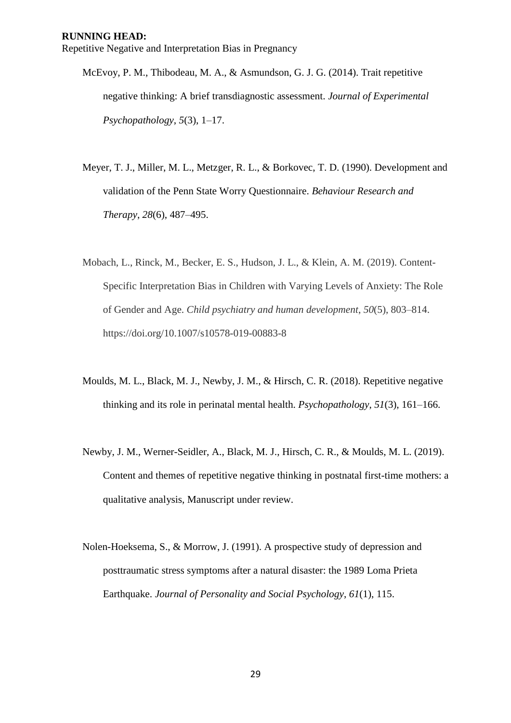- McEvoy, P. M., Thibodeau, M. A., & Asmundson, G. J. G. (2014). Trait repetitive negative thinking: A brief transdiagnostic assessment. *Journal of Experimental Psychopathology*, *5*(3), 1–17.
- Meyer, T. J., Miller, M. L., Metzger, R. L., & Borkovec, T. D. (1990). Development and validation of the Penn State Worry Questionnaire. *Behaviour Research and Therapy*, *28*(6), 487–495.
- Mobach, L., Rinck, M., Becker, E. S., Hudson, J. L., & Klein, A. M. (2019). Content-Specific Interpretation Bias in Children with Varying Levels of Anxiety: The Role of Gender and Age. *Child psychiatry and human development*, *50*(5), 803–814. https://doi.org/10.1007/s10578-019-00883-8
- Moulds, M. L., Black, M. J., Newby, J. M., & Hirsch, C. R. (2018). Repetitive negative thinking and its role in perinatal mental health. *Psychopathology*, *51*(3), 161–166.
- Newby, J. M., Werner-Seidler, A., Black, M. J., Hirsch, C. R., & Moulds, M. L. (2019). Content and themes of repetitive negative thinking in postnatal first-time mothers: a qualitative analysis, Manuscript under review.
- Nolen-Hoeksema, S., & Morrow, J. (1991). A prospective study of depression and posttraumatic stress symptoms after a natural disaster: the 1989 Loma Prieta Earthquake. *Journal of Personality and Social Psychology*, *61*(1), 115.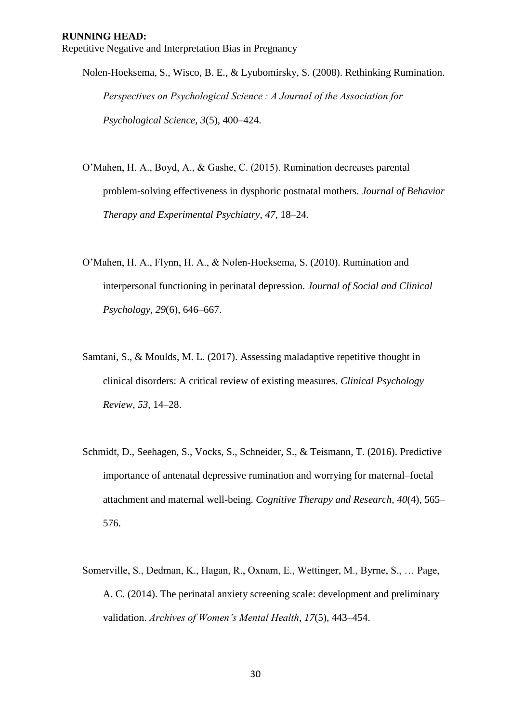Nolen-Hoeksema, S., Wisco, B. E., & Lyubomirsky, S. (2008). Rethinking Rumination. *Perspectives on Psychological Science : A Journal of the Association for Psychological Science*, *3*(5), 400–424.

- O'Mahen, H. A., Boyd, A., & Gashe, C. (2015). Rumination decreases parental problem-solving effectiveness in dysphoric postnatal mothers. *Journal of Behavior Therapy and Experimental Psychiatry*, *47*, 18–24.
- O'Mahen, H. A., Flynn, H. A., & Nolen-Hoeksema, S. (2010). Rumination and interpersonal functioning in perinatal depression. *Journal of Social and Clinical Psychology*, *29*(6), 646–667.
- Samtani, S., & Moulds, M. L. (2017). Assessing maladaptive repetitive thought in clinical disorders: A critical review of existing measures. *Clinical Psychology Review*, *53*, 14–28.
- Schmidt, D., Seehagen, S., Vocks, S., Schneider, S., & Teismann, T. (2016). Predictive importance of antenatal depressive rumination and worrying for maternal–foetal attachment and maternal well-being. *Cognitive Therapy and Research*, *40*(4), 565– 576.
- Somerville, S., Dedman, K., Hagan, R., Oxnam, E., Wettinger, M., Byrne, S., … Page, A. C. (2014). The perinatal anxiety screening scale: development and preliminary validation. *Archives of Women's Mental Health*, *17*(5), 443–454.